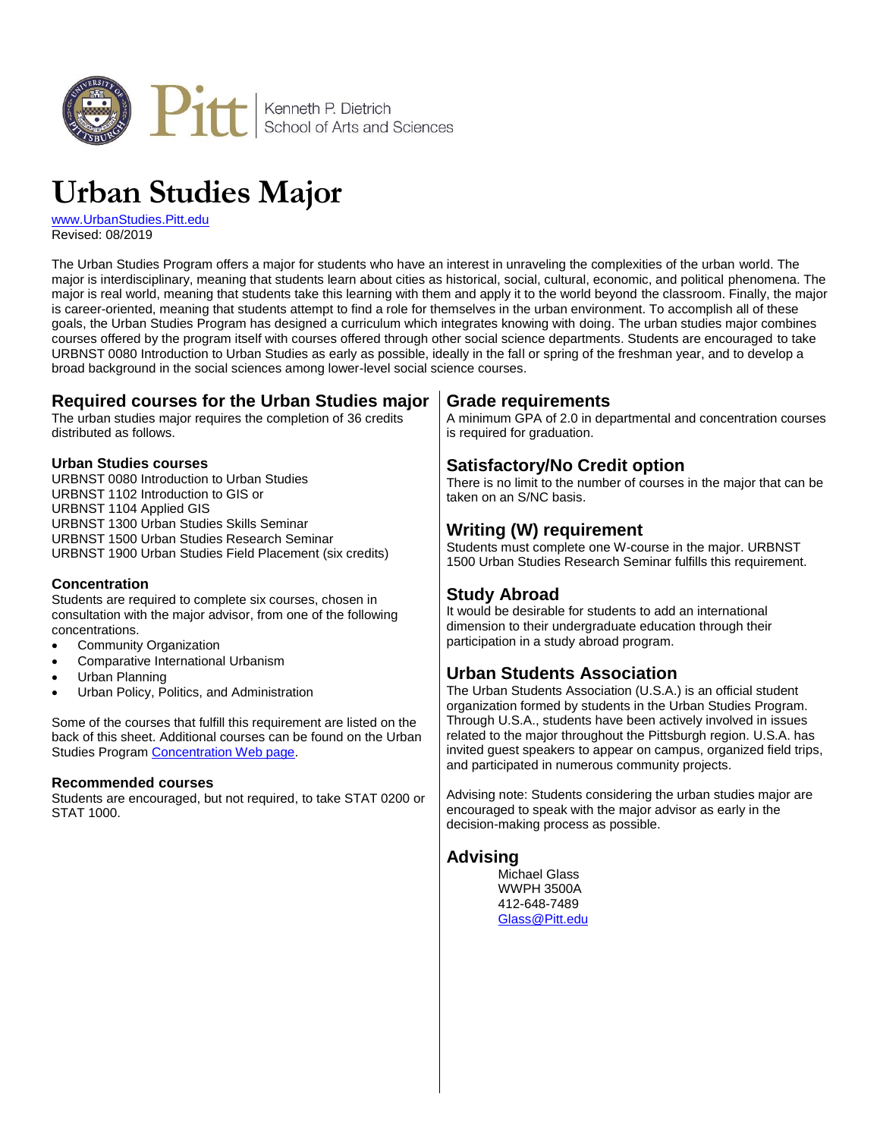

# **Urban Studies Major**

[www.UrbanStudies.Pitt.edu](http://www.urbanstudies.pitt.edu/) Revised: 08/2019

The Urban Studies Program offers a major for students who have an interest in unraveling the complexities of the urban world. The major is interdisciplinary, meaning that students learn about cities as historical, social, cultural, economic, and political phenomena. The major is real world, meaning that students take this learning with them and apply it to the world beyond the classroom. Finally, the major is career-oriented, meaning that students attempt to find a role for themselves in the urban environment. To accomplish all of these goals, the Urban Studies Program has designed a curriculum which integrates knowing with doing. The urban studies major combines courses offered by the program itself with courses offered through other social science departments. Students are encouraged to take URBNST 0080 Introduction to Urban Studies as early as possible, ideally in the fall or spring of the freshman year, and to develop a broad background in the social sciences among lower-level social science courses.

## **Required courses for the Urban Studies major**

The urban studies major requires the completion of 36 credits distributed as follows.

#### **Urban Studies courses**

URBNST 0080 Introduction to Urban Studies URBNST 1102 Introduction to GIS or URBNST 1104 Applied GIS URBNST 1300 Urban Studies Skills Seminar URBNST 1500 Urban Studies Research Seminar URBNST 1900 Urban Studies Field Placement (six credits)

#### **Concentration**

Students are required to complete six courses, chosen in consultation with the major advisor, from one of the following concentrations.

- Community Organization
- Comparative International Urbanism
- Urban Planning
- Urban Policy, Politics, and Administration

Some of the courses that fulfill this requirement are listed on the back of this sheet. Additional courses can be found on the Urban Studies Progra[m Concentration Web page.](http://www.urbanstudies.pitt.edu/program/concentrations)

#### **Recommended courses**

Students are encouraged, but not required, to take STAT 0200 or STAT 1000.

#### **Grade requirements**

A minimum GPA of 2.0 in departmental and concentration courses is required for graduation.

## **Satisfactory/No Credit option**

There is no limit to the number of courses in the major that can be taken on an S/NC basis.

## **Writing (W) requirement**

Students must complete one W-course in the major. URBNST 1500 Urban Studies Research Seminar fulfills this requirement.

## **Study Abroad**

It would be desirable for students to add an international dimension to their undergraduate education through their participation in a study abroad program.

## **Urban Students Association**

The Urban Students Association (U.S.A.) is an official student organization formed by students in the Urban Studies Program. Through U.S.A., students have been actively involved in issues related to the major throughout the Pittsburgh region. U.S.A. has invited guest speakers to appear on campus, organized field trips, and participated in numerous community projects.

Advising note: Students considering the urban studies major are encouraged to speak with the major advisor as early in the decision-making process as possible.

#### **Advising**

Michael Glass WWPH 3500A 412-648-7489 [Glass@Pitt.edu](mailto:Glass@Pitt.edu)